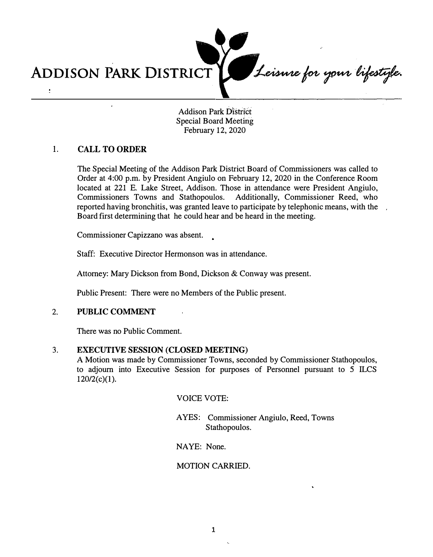Leisnne for your lifestyle. **ADDISON PARK DISTRICT**   $\ddot{\cdot}$ 

Addison Park District Special Board Meeting February 12, 2020

## **1. CALL TO ORDER**

The Special Meeting of the Addison Park District Board of Commissioners was called to Order at 4:00 p.m. by President Angiulo on February 12, 2020 in the Conference Room located at 221 E. Lake Street, Addison. Those in attendance were President Angiulo, Commissioners Towns and Stathopoulos. Additionally, Commissioner Reed, who reported having bronchitis, was granted leave to participate by telephonic means, with the Board first determining that he could hear and be heard in the meeting.

Commissioner Capizzano was absent.

Staff: Executive Director Hermonson was in attendance.

Attorney: Mary Dickson from Bond, Dickson & Conway was present.

Public Present: There were no Members of the Public present.

### **2. PUBLIC COMMENT**

There was no Public Comment.

### **3. EXECUTIVE SESSION (CLOSED MEETING)**

A Motion was made by Commissioner Towns, seconded by Commissioner Stathopoulos, to adjourn into Executive Session for purposes of Personnel pursuant to 5 ILCS  $120/2(c)(1)$ .

VOICE VOTE:

AYES: Commissioner Angiulo, Reed, Towns Stathopoulos.

NAYE: None.

### MOTION CARRIED.